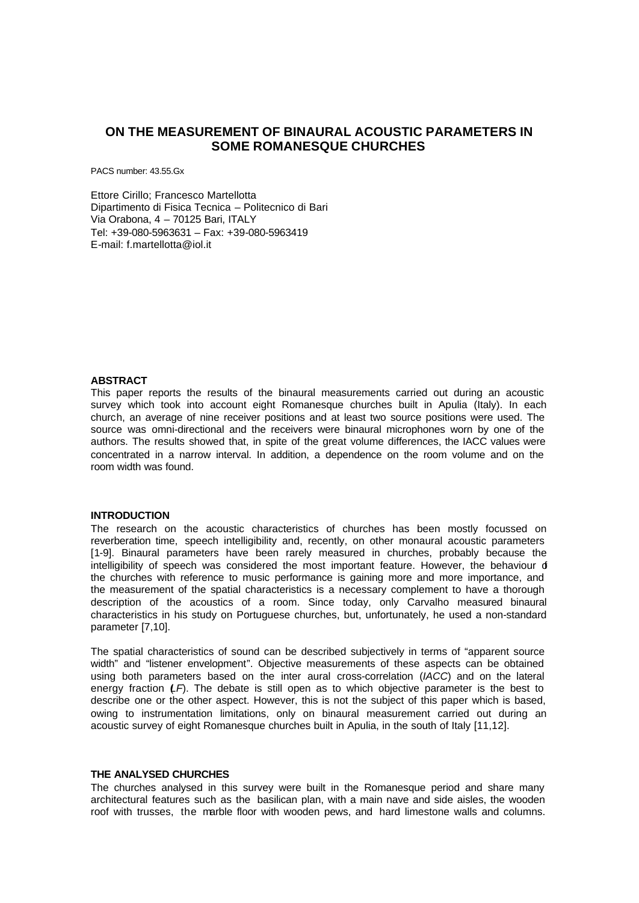# **ON THE MEASUREMENT OF BINAURAL ACOUSTIC PARAMETERS IN SOME ROMANESQUE CHURCHES**

PACS number: 43.55.Gx

Ettore Cirillo; Francesco Martellotta Dipartimento di Fisica Tecnica – Politecnico di Bari Via Orabona, 4 – 70125 Bari, ITALY Tel: +39-080-5963631 – Fax: +39-080-5963419 E-mail: f.martellotta@iol.it

## **ABSTRACT**

This paper reports the results of the binaural measurements carried out during an acoustic survey which took into account eight Romanesque churches built in Apulia (Italy). In each church, an average of nine receiver positions and at least two source positions were used. The source was omni-directional and the receivers were binaural microphones worn by one of the authors. The results showed that, in spite of the great volume differences, the IACC values were concentrated in a narrow interval. In addition, a dependence on the room volume and on the room width was found.

#### **INTRODUCTION**

The research on the acoustic characteristics of churches has been mostly focussed on reverberation time, speech intelligibility and, recently, on other monaural acoustic parameters [1-9]. Binaural parameters have been rarely measured in churches, probably because the intelligibility of speech was considered the most important feature. However, the behaviour of the churches with reference to music performance is gaining more and more importance, and the measurement of the spatial characteristics is a necessary complement to have a thorough description of the acoustics of a room. Since today, only Carvalho measured binaural characteristics in his study on Portuguese churches, but, unfortunately, he used a non-standard parameter [7,10].

The spatial characteristics of sound can be described subjectively in terms of "apparent source width" and "listener envelopment". Objective measurements of these aspects can be obtained using both parameters based on the inter aural cross-correlation (*IACC*) and on the lateral energy fraction *LF*). The debate is still open as to which objective parameter is the best to describe one or the other aspect. However, this is not the subject of this paper which is based, owing to instrumentation limitations, only on binaural measurement carried out during an acoustic survey of eight Romanesque churches built in Apulia, in the south of Italy [11,12].

#### **THE ANALYSED CHURCHES**

The churches analysed in this survey were built in the Romanesque period and share many architectural features such as the basilican plan, with a main nave and side aisles, the wooden roof with trusses, the marble floor with wooden pews, and hard limestone walls and columns.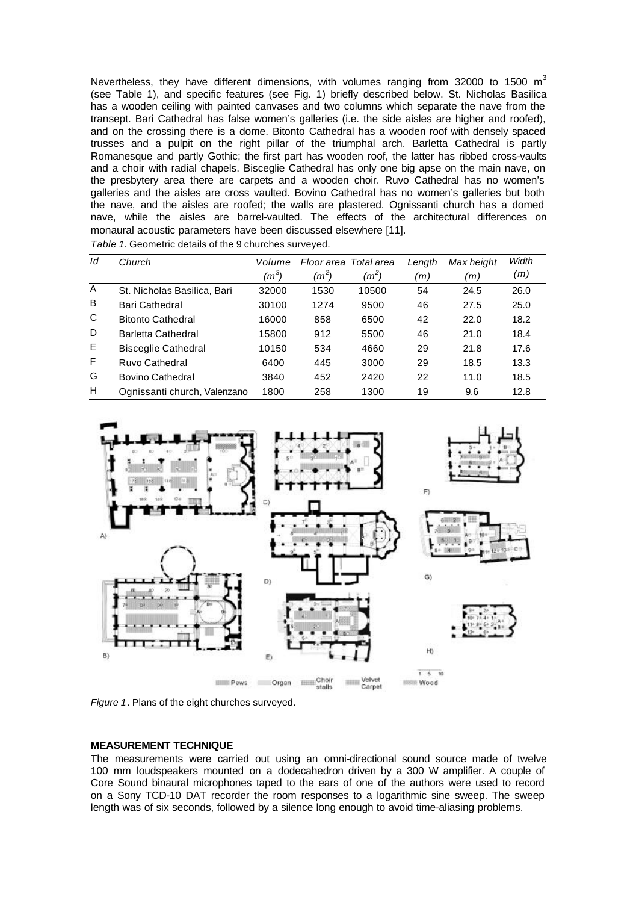Nevertheless, they have different dimensions, with volumes ranging from 32000 to 1500  $m^3$ (see Table 1), and specific features (see Fig. 1) briefly described below. St. Nicholas Basilica has a wooden ceiling with painted canvases and two columns which separate the nave from the transept. Bari Cathedral has false women's galleries (i.e. the side aisles are higher and roofed), and on the crossing there is a dome. Bitonto Cathedral has a wooden roof with densely spaced trusses and a pulpit on the right pillar of the triumphal arch. Barletta Cathedral is partly Romanesque and partly Gothic; the first part has wooden roof, the latter has ribbed cross-vaults and a choir with radial chapels. Bisceglie Cathedral has only one big apse on the main nave, on the presbytery area there are carpets and a wooden choir. Ruvo Cathedral has no women's galleries and the aisles are cross vaulted. Bovino Cathedral has no women's galleries but both the nave, and the aisles are roofed; the walls are plastered. Ognissanti church has a domed nave, while the aisles are barrel-vaulted. The effects of the architectural differences on monaural acoustic parameters have been discussed elsewhere [11].

| Table 1. Geometric details of the 9 churches surveyed. |  |
|--------------------------------------------------------|--|
|--------------------------------------------------------|--|

| Id           | Church                       | Volume  | Floor area Total area |         | Length | Max height | Width |
|--------------|------------------------------|---------|-----------------------|---------|--------|------------|-------|
|              |                              | $(m^3)$ | $(m^2)$               | $(m^2)$ | (m)    | (m)        | (m)   |
| $\mathsf{A}$ | St. Nicholas Basilica, Bari  | 32000   | 1530                  | 10500   | 54     | 24.5       | 26.0  |
| B            | Bari Cathedral               | 30100   | 1274                  | 9500    | 46     | 27.5       | 25.0  |
| C            | <b>Bitonto Cathedral</b>     | 16000   | 858                   | 6500    | 42     | 22.0       | 18.2  |
| D            | Barletta Cathedral           | 15800   | 912                   | 5500    | 46     | 21.0       | 18.4  |
| E            | <b>Bisceglie Cathedral</b>   | 10150   | 534                   | 4660    | 29     | 21.8       | 17.6  |
| F            | Ruvo Cathedral               | 6400    | 445                   | 3000    | 29     | 18.5       | 13.3  |
| G            | <b>Bovino Cathedral</b>      | 3840    | 452                   | 2420    | 22     | 11.0       | 18.5  |
| H            | Ognissanti church, Valenzano | 1800    | 258                   | 1300    | 19     | 9.6        | 12.8  |



*Figure 1*. Plans of the eight churches surveyed.

#### **MEASUREMENT TECHNIQUE**

The measurements were carried out using an omni-directional sound source made of twelve 100 mm loudspeakers mounted on a dodecahedron driven by a 300 W amplifier. A couple of Core Sound binaural microphones taped to the ears of one of the authors were used to record on a Sony TCD-10 DAT recorder the room responses to a logarithmic sine sweep. The sweep length was of six seconds, followed by a silence long enough to avoid time-aliasing problems.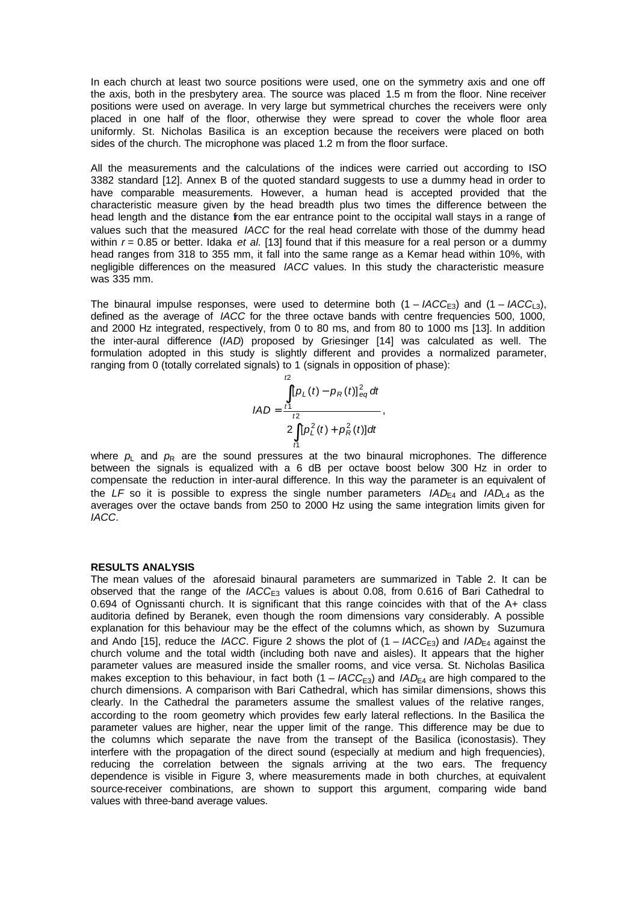In each church at least two source positions were used, one on the symmetry axis and one off the axis, both in the presbytery area. The source was placed 1.5 m from the floor. Nine receiver positions were used on average. In very large but symmetrical churches the receivers were only placed in one half of the floor, otherwise they were spread to cover the whole floor area uniformly. St. Nicholas Basilica is an exception because the receivers were placed on both sides of the church. The microphone was placed 1.2 m from the floor surface.

All the measurements and the calculations of the indices were carried out according to ISO 3382 standard [12]. Annex B of the quoted standard suggests to use a dummy head in order to have comparable measurements. However, a human head is accepted provided that the characteristic measure given by the head breadth plus two times the difference between the head length and the distance from the ear entrance point to the occipital wall stays in a range of values such that the measured *IACC* for the real head correlate with those of the dummy head within  $r = 0.85$  or better. Idaka *et al.* [13] found that if this measure for a real person or a dummy head ranges from 318 to 355 mm, it fall into the same range as a Kemar head within 10%, with negligible differences on the measured *IACC* values. In this study the characteristic measure was 335 mm.

The binaural impulse responses, were used to determine both  $(1 - IACC_{\text{F3}})$  and  $(1 - IACC_{\text{F3}})$ , defined as the average of *IACC* for the three octave bands with centre frequencies 500, 1000, and 2000 Hz integrated, respectively, from 0 to 80 ms, and from 80 to 1000 ms [13]. In addition the inter-aural difference (*IAD*) proposed by Griesinger [14] was calculated as well. The formulation adopted in this study is slightly different and provides a normalized parameter, ranging from 0 (totally correlated signals) to 1 (signals in opposition of phase):

$$
IAD = \frac{\int_{t1}^{t2} [p_L(t) - p_R(t)]_{eq}^2 dt}{2 \int_{t1}^{t2} [p_L^2(t) + p_R^2(t)] dt},
$$

where  $p_L$  and  $p_R$  are the sound pressures at the two binaural microphones. The difference between the signals is equalized with a 6 dB per octave boost below 300 Hz in order to compensate the reduction in inter-aural difference. In this way the parameter is an equivalent of the *LF* so it is possible to express the single number parameters  $IAD_{\text{F4}}$  and  $IAD_{\text{A}}$  as the averages over the octave bands from 250 to 2000 Hz using the same integration limits given for *IACC*.

### **RESULTS ANALYSIS**

The mean values of the aforesaid binaural parameters are summarized in Table 2. It can be observed that the range of the *IACC*<sub>E3</sub> values is about 0.08, from 0.616 of Bari Cathedral to 0.694 of Ognissanti church. It is significant that this range coincides with that of the A+ class auditoria defined by Beranek, even though the room dimensions vary considerably. A possible explanation for this behaviour may be the effect of the columns which, as shown by Suzumura and Ando [15], reduce the *IACC*. Figure 2 shows the plot of  $(1 - IACC_{F3})$  and  $IAD_{F4}$  against the church volume and the total width (including both nave and aisles). It appears that the higher parameter values are measured inside the smaller rooms, and vice versa. St. Nicholas Basilica makes exception to this behaviour, in fact both  $(1 - IACC_{E3})$  and  $IAD_{E4}$  are high compared to the church dimensions. A comparison with Bari Cathedral, which has similar dimensions, shows this clearly. In the Cathedral the parameters assume the smallest values of the relative ranges, according to the room geometry which provides few early lateral reflections. In the Basilica the parameter values are higher, near the upper limit of the range. This difference may be due to the columns which separate the nave from the transept of the Basilica (iconostasis). They interfere with the propagation of the direct sound (especially at medium and high frequencies), reducing the correlation between the signals arriving at the two ears. The frequency dependence is visible in Figure 3, where measurements made in both churches, at equivalent source-receiver combinations, are shown to support this argument, comparing wide band values with three-band average values.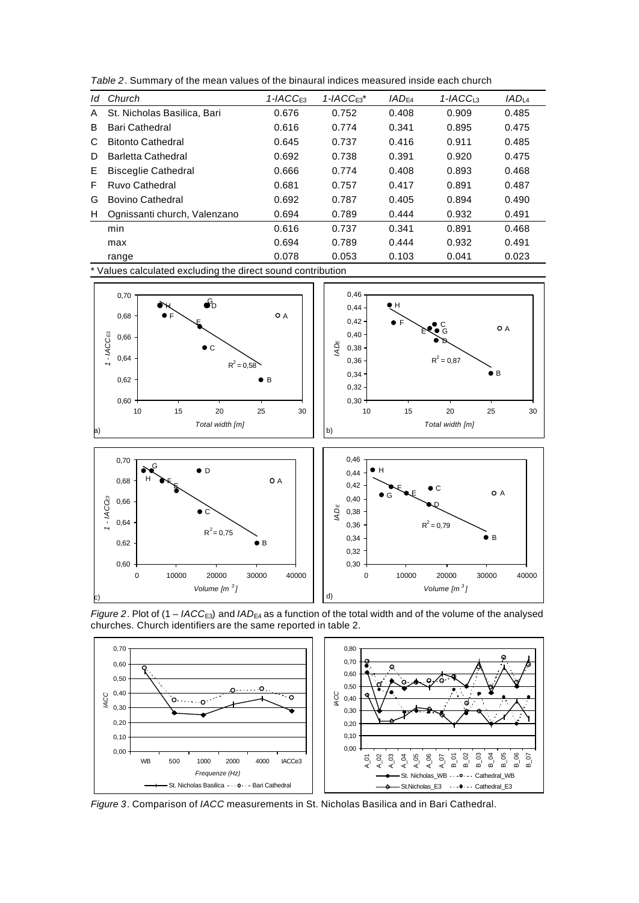*Table 2*. Summary of the mean values of the binaural indices measured inside each church

| ld | Church                       | $1 - IACCF3$ | $1 - IACCF3*$ | $IAD_{F4}$ | $1 - IACC13$ | IAD <sub>14</sub> |
|----|------------------------------|--------------|---------------|------------|--------------|-------------------|
| A  | St. Nicholas Basilica, Bari  | 0.676        | 0.752         | 0.408      | 0.909        | 0.485             |
| B  | <b>Bari Cathedral</b>        | 0.616        | 0.774         | 0.341      | 0.895        | 0.475             |
| C  | <b>Bitonto Cathedral</b>     | 0.645        | 0.737         | 0.416      | 0.911        | 0.485             |
| D  | Barletta Cathedral           | 0.692        | 0.738         | 0.391      | 0.920        | 0.475             |
| E. | <b>Bisceglie Cathedral</b>   | 0.666        | 0.774         | 0.408      | 0.893        | 0.468             |
| F  | Ruvo Cathedral               | 0.681        | 0.757         | 0.417      | 0.891        | 0.487             |
| G  | <b>Bovino Cathedral</b>      | 0.692        | 0.787         | 0.405      | 0.894        | 0.490             |
| H  | Ognissanti church, Valenzano | 0.694        | 0.789         | 0.444      | 0.932        | 0.491             |
|    | min                          | 0.616        | 0.737         | 0.341      | 0.891        | 0.468             |
|    | max                          | 0.694        | 0.789         | 0.444      | 0.932        | 0.491             |
|    | range                        | 0.078        | 0.053         | 0.103      | 0.041        | 0.023             |

\* Values calculated excluding the direct sound contribution



*Figure 2.* Plot of (1 – *IACC*<sub>E3</sub>) and *IAD*<sub>E4</sub> as a function of the total width and of the volume of the analysed churches. Church identifiers are the same reported in table 2.



*Figure 3*. Comparison of *IACC* measurements in St. Nicholas Basilica and in Bari Cathedral.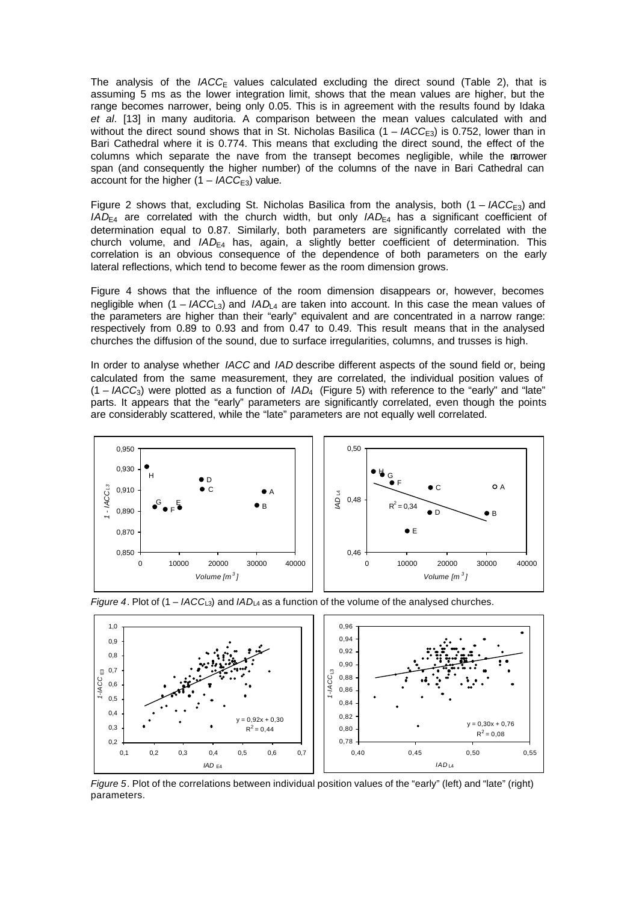The analysis of the  $IACC_E$  values calculated excluding the direct sound (Table 2), that is assuming 5 ms as the lower integration limit, shows that the mean values are higher, but the range becomes narrower, being only 0.05. This is in agreement with the results found by Idaka *et al*. [13] in many auditoria. A comparison between the mean values calculated with and without the direct sound shows that in St. Nicholas Basilica  $(1 - IACC<sub>E3</sub>)$  is 0.752, lower than in Bari Cathedral where it is 0.774. This means that excluding the direct sound, the effect of the columns which separate the nave from the transept becomes negligible, while the narrower span (and consequently the higher number) of the columns of the nave in Bari Cathedral can account for the higher  $(1 - IACC_{E3})$  value.

Figure 2 shows that, excluding St. Nicholas Basilica from the analysis, both  $(1 - IACC_{E3})$  and  $IAD_{E4}$  are correlated with the church width, but only  $IAD_{E4}$  has a significant coefficient of determination equal to 0.87. Similarly, both parameters are significantly correlated with the church volume, and *IAD*<sub>E4</sub> has, again, a slightly better coefficient of determination. This correlation is an obvious consequence of the dependence of both parameters on the early lateral reflections, which tend to become fewer as the room dimension grows.

Figure 4 shows that the influence of the room dimension disappears or, however, becomes negligible when (1 – *IACC*<sub>L3</sub>) and *IAD*<sub>L4</sub> are taken into account. In this case the mean values of the parameters are higher than their "early" equivalent and are concentrated in a narrow range: respectively from 0.89 to 0.93 and from 0.47 to 0.49. This result means that in the analysed churches the diffusion of the sound, due to surface irregularities, columns, and trusses is high.

In order to analyse whether *IACC* and *IAD* describe different aspects of the sound field or, being calculated from the same measurement, they are correlated, the individual position values of  $(1 - IACC_3)$  were plotted as a function of  $IAD_4$  (Figure 5) with reference to the "early" and "late" parts. It appears that the "early" parameters are significantly correlated, even though the points are considerably scattered, while the "late" parameters are not equally well correlated.





*Figure 4.* Plot of  $(1 - IACC_{L3})$  and  $IAD_{L4}$  as a function of the volume of the analysed churches.

*Figure 5*. Plot of the correlations between individual position values of the "early" (left) and "late" (right) parameters.